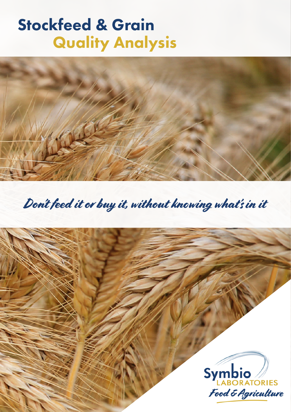# Stockfeed & Grain Quality Analysis



Don't feed it or buy it, without knowing what's in it